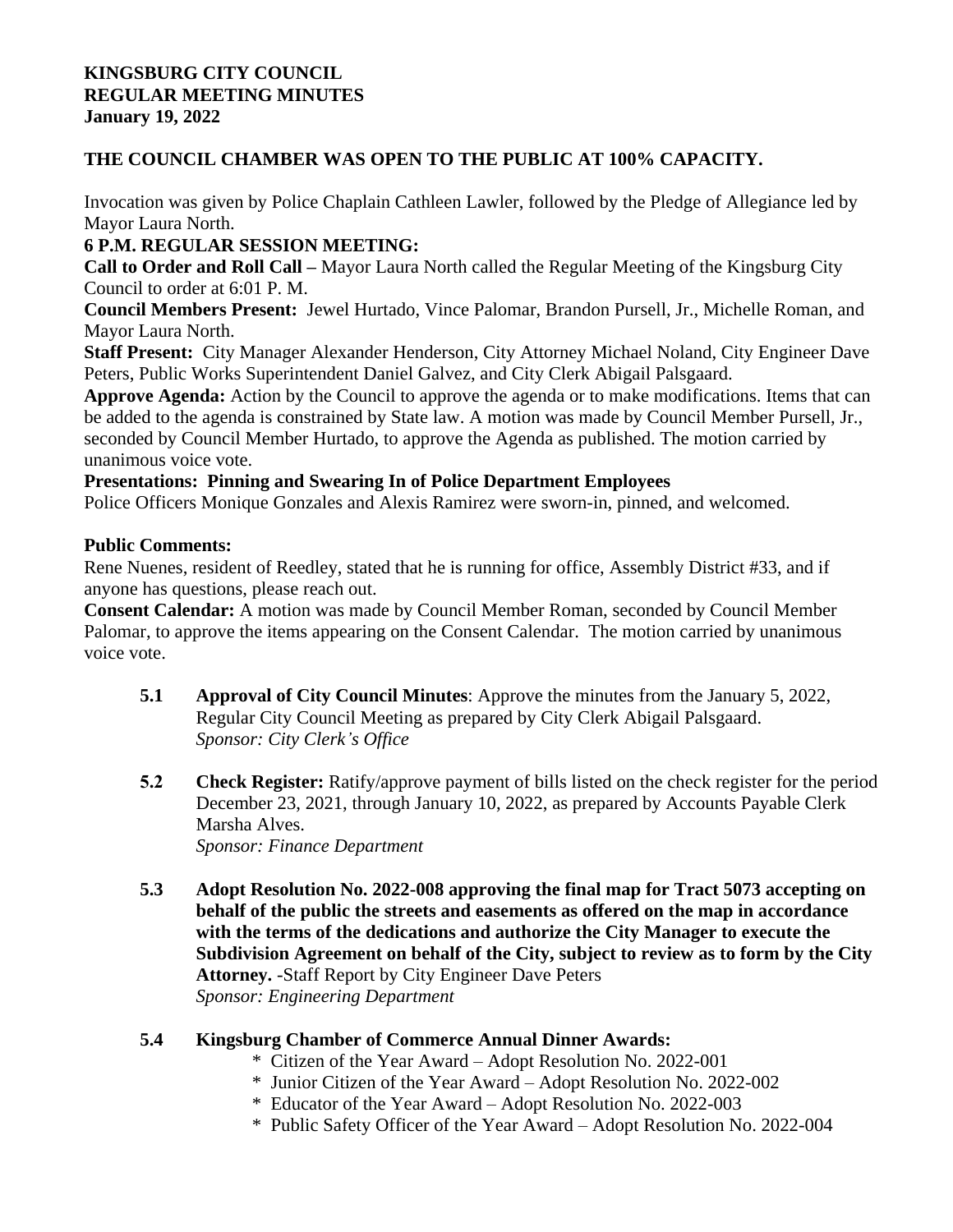#### **KINGSBURG CITY COUNCIL REGULAR MEETING MINUTES January 19, 2022**

## **THE COUNCIL CHAMBER WAS OPEN TO THE PUBLIC AT 100% CAPACITY.**

Invocation was given by Police Chaplain Cathleen Lawler, followed by the Pledge of Allegiance led by Mayor Laura North.

# **6 P.M. REGULAR SESSION MEETING:**

**Call to Order and Roll Call –** Mayor Laura North called the Regular Meeting of the Kingsburg City Council to order at 6:01 P. M.

**Council Members Present:** Jewel Hurtado, Vince Palomar, Brandon Pursell, Jr., Michelle Roman, and Mayor Laura North.

**Staff Present:** City Manager Alexander Henderson, City Attorney Michael Noland, City Engineer Dave Peters, Public Works Superintendent Daniel Galvez, and City Clerk Abigail Palsgaard.

**Approve Agenda:** Action by the Council to approve the agenda or to make modifications. Items that can be added to the agenda is constrained by State law. A motion was made by Council Member Pursell, Jr., seconded by Council Member Hurtado, to approve the Agenda as published. The motion carried by unanimous voice vote.

**Presentations: Pinning and Swearing In of Police Department Employees**

Police Officers Monique Gonzales and Alexis Ramirez were sworn-in, pinned, and welcomed.

### **Public Comments:**

Rene Nuenes, resident of Reedley, stated that he is running for office, Assembly District #33, and if anyone has questions, please reach out.

**Consent Calendar:** A motion was made by Council Member Roman, seconded by Council Member Palomar, to approve the items appearing on the Consent Calendar. The motion carried by unanimous voice vote.

- **5.1 Approval of City Council Minutes**: Approve the minutes from the January 5, 2022, Regular City Council Meeting as prepared by City Clerk Abigail Palsgaard. *Sponsor: City Clerk's Office*
- **5.2 Check Register:** Ratify/approve payment of bills listed on the check register for the period December 23, 2021, through January 10, 2022, as prepared by Accounts Payable Clerk Marsha Alves. *Sponsor: Finance Department*

**5.3 Adopt Resolution No. 2022-008 approving the final map for Tract 5073 accepting on behalf of the public the streets and easements as offered on the map in accordance with the terms of the dedications and authorize the City Manager to execute the Subdivision Agreement on behalf of the City, subject to review as to form by the City Attorney.** -Staff Report by City Engineer Dave Peters

*Sponsor: Engineering Department*

# **5.4 Kingsburg Chamber of Commerce Annual Dinner Awards:**

- \* Citizen of the Year Award Adopt Resolution No. 2022-001
- \* Junior Citizen of the Year Award Adopt Resolution No. 2022-002
- \* Educator of the Year Award Adopt Resolution No. 2022-003
- \* Public Safety Officer of the Year Award Adopt Resolution No. 2022-004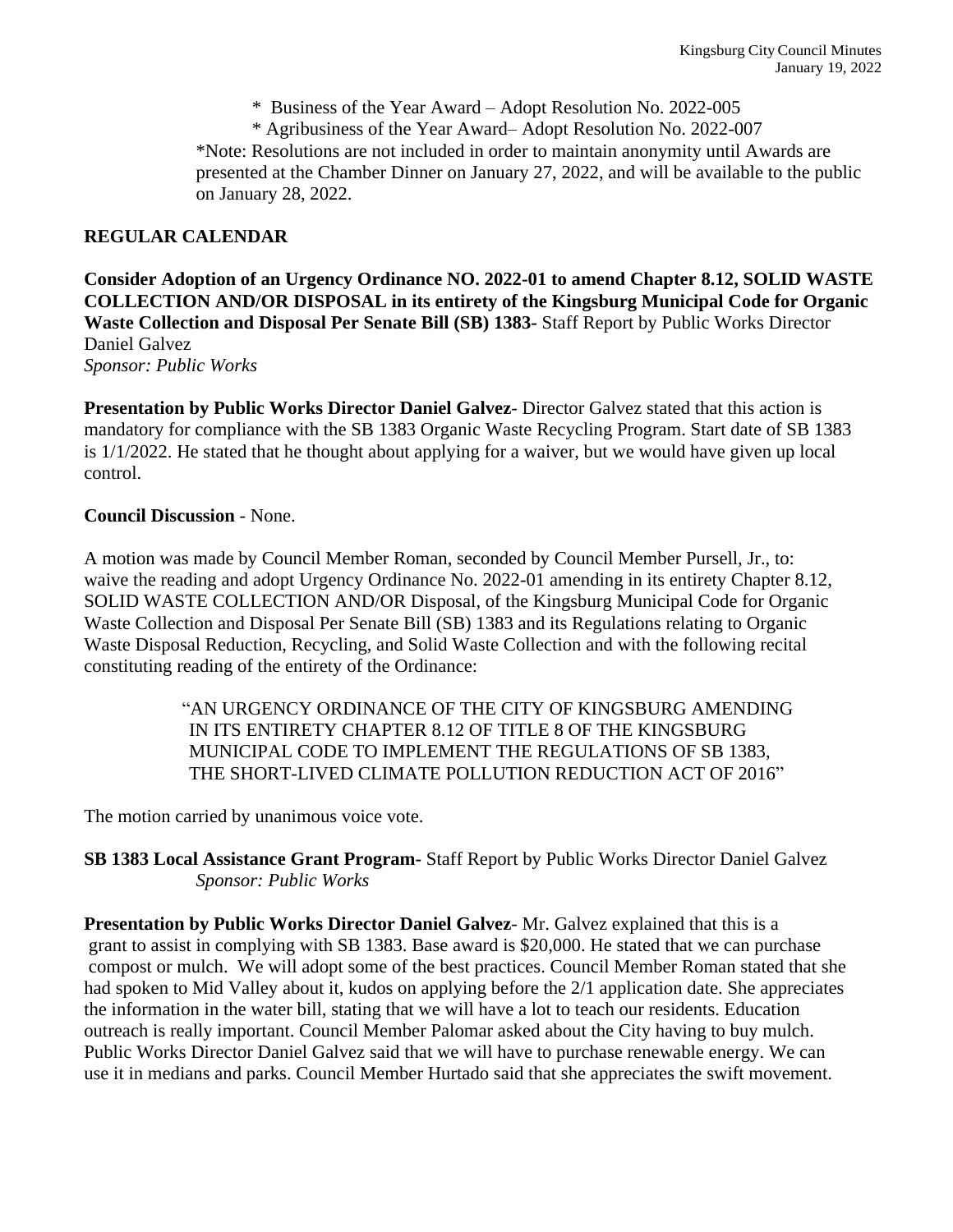\* Business of the Year Award – Adopt Resolution No. 2022-005

\* Agribusiness of the Year Award– Adopt Resolution No. 2022-007

\*Note: Resolutions are not included in order to maintain anonymity until Awards are presented at the Chamber Dinner on January 27, 2022, and will be available to the public on January 28, 2022.

#### **REGULAR CALENDAR**

**Consider Adoption of an Urgency Ordinance NO. 2022-01 to amend Chapter 8.12, SOLID WASTE COLLECTION AND/OR DISPOSAL in its entirety of the Kingsburg Municipal Code for Organic Waste Collection and Disposal Per Senate Bill (SB) 1383-** Staff Report by Public Works Director Daniel Galvez *Sponsor: Public Works*

**Presentation by Public Works Director Daniel Galvez**- Director Galvez stated that this action is mandatory for compliance with the SB 1383 Organic Waste Recycling Program. Start date of SB 1383 is 1/1/2022. He stated that he thought about applying for a waiver, but we would have given up local control.

#### **Council Discussion** - None.

A motion was made by Council Member Roman, seconded by Council Member Pursell, Jr., to: waive the reading and adopt Urgency Ordinance No. 2022-01 amending in its entirety Chapter 8.12, SOLID WASTE COLLECTION AND/OR Disposal, of the Kingsburg Municipal Code for Organic Waste Collection and Disposal Per Senate Bill (SB) 1383 and its Regulations relating to Organic Waste Disposal Reduction, Recycling, and Solid Waste Collection and with the following recital constituting reading of the entirety of the Ordinance:

> "AN URGENCY ORDINANCE OF THE CITY OF KINGSBURG AMENDING IN ITS ENTIRETY CHAPTER 8.12 OF TITLE 8 OF THE KINGSBURG MUNICIPAL CODE TO IMPLEMENT THE REGULATIONS OF SB 1383, THE SHORT-LIVED CLIMATE POLLUTION REDUCTION ACT OF 2016"

The motion carried by unanimous voice vote.

### **SB 1383 Local Assistance Grant Program-** Staff Report by Public Works Director Daniel Galvez *Sponsor: Public Works*

**Presentation by Public Works Director Daniel Galvez**- Mr. Galvez explained that this is a grant to assist in complying with SB 1383. Base award is \$20,000. He stated that we can purchase compost or mulch. We will adopt some of the best practices. Council Member Roman stated that she had spoken to Mid Valley about it, kudos on applying before the 2/1 application date. She appreciates the information in the water bill, stating that we will have a lot to teach our residents. Education outreach is really important. Council Member Palomar asked about the City having to buy mulch. Public Works Director Daniel Galvez said that we will have to purchase renewable energy. We can use it in medians and parks. Council Member Hurtado said that she appreciates the swift movement.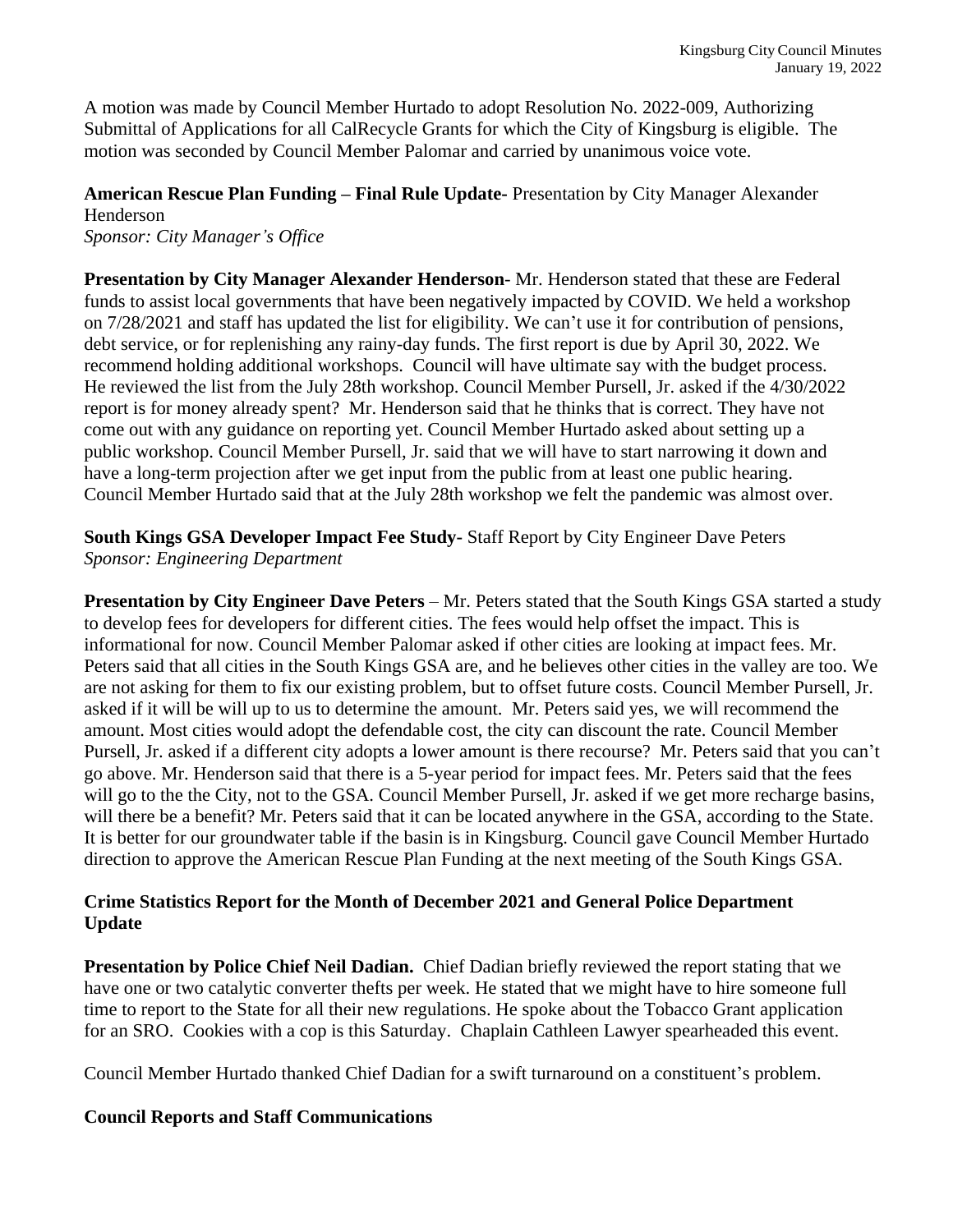A motion was made by Council Member Hurtado to adopt Resolution No. 2022-009, Authorizing Submittal of Applications for all CalRecycle Grants for which the City of Kingsburg is eligible. The motion was seconded by Council Member Palomar and carried by unanimous voice vote.

## **American Rescue Plan Funding – Final Rule Update-** Presentation by City Manager Alexander Henderson

*Sponsor: City Manager's Office*

**Presentation by City Manager Alexander Henderson**- Mr. Henderson stated that these are Federal funds to assist local governments that have been negatively impacted by COVID. We held a workshop on 7/28/2021 and staff has updated the list for eligibility. We can't use it for contribution of pensions, debt service, or for replenishing any rainy-day funds. The first report is due by April 30, 2022. We recommend holding additional workshops. Council will have ultimate say with the budget process. He reviewed the list from the July 28th workshop. Council Member Pursell, Jr. asked if the 4/30/2022 report is for money already spent? Mr. Henderson said that he thinks that is correct. They have not come out with any guidance on reporting yet. Council Member Hurtado asked about setting up a public workshop. Council Member Pursell, Jr. said that we will have to start narrowing it down and have a long-term projection after we get input from the public from at least one public hearing. Council Member Hurtado said that at the July 28th workshop we felt the pandemic was almost over.

**South Kings GSA Developer Impact Fee Study-** Staff Report by City Engineer Dave Peters *Sponsor: Engineering Department*

**Presentation by City Engineer Dave Peters** – Mr. Peters stated that the South Kings GSA started a study to develop fees for developers for different cities. The fees would help offset the impact. This is informational for now. Council Member Palomar asked if other cities are looking at impact fees. Mr. Peters said that all cities in the South Kings GSA are, and he believes other cities in the valley are too. We are not asking for them to fix our existing problem, but to offset future costs. Council Member Pursell, Jr. asked if it will be will up to us to determine the amount. Mr. Peters said yes, we will recommend the amount. Most cities would adopt the defendable cost, the city can discount the rate. Council Member Pursell, Jr. asked if a different city adopts a lower amount is there recourse? Mr. Peters said that you can't go above. Mr. Henderson said that there is a 5-year period for impact fees. Mr. Peters said that the fees will go to the the City, not to the GSA. Council Member Pursell, Jr. asked if we get more recharge basins, will there be a benefit? Mr. Peters said that it can be located anywhere in the GSA, according to the State. It is better for our groundwater table if the basin is in Kingsburg. Council gave Council Member Hurtado direction to approve the American Rescue Plan Funding at the next meeting of the South Kings GSA.

### **Crime Statistics Report for the Month of December 2021 and General Police Department Update**

**Presentation by Police Chief Neil Dadian.** Chief Dadian briefly reviewed the report stating that we have one or two catalytic converter thefts per week. He stated that we might have to hire someone full time to report to the State for all their new regulations. He spoke about the Tobacco Grant application for an SRO. Cookies with a cop is this Saturday. Chaplain Cathleen Lawyer spearheaded this event.

Council Member Hurtado thanked Chief Dadian for a swift turnaround on a constituent's problem.

### **Council Reports and Staff Communications**